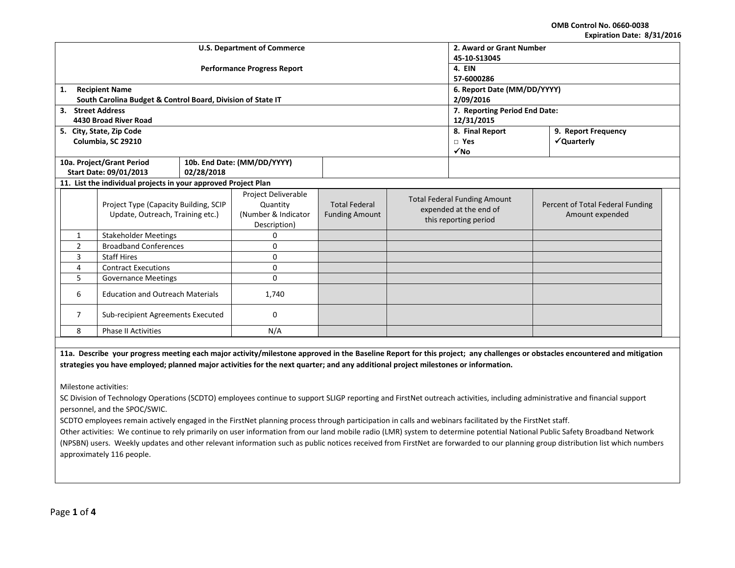**OMB Control No. 0660-0038 Expiration Date: 8/31/2016**

| EXPITATION DATE, 0/31/2010                          |                                                                |                                    |                             |                       |                                                 |                                     |                                  |  |  |
|-----------------------------------------------------|----------------------------------------------------------------|------------------------------------|-----------------------------|-----------------------|-------------------------------------------------|-------------------------------------|----------------------------------|--|--|
|                                                     |                                                                | <b>U.S. Department of Commerce</b> | 2. Award or Grant Number    |                       |                                                 |                                     |                                  |  |  |
|                                                     |                                                                |                                    | 45-10-S13045                |                       |                                                 |                                     |                                  |  |  |
|                                                     |                                                                | <b>Performance Progress Report</b> | 4. EIN                      |                       |                                                 |                                     |                                  |  |  |
|                                                     |                                                                |                                    | 57-6000286                  |                       |                                                 |                                     |                                  |  |  |
| 1.                                                  | <b>Recipient Name</b>                                          |                                    |                             |                       |                                                 | 6. Report Date (MM/DD/YYYY)         |                                  |  |  |
|                                                     | South Carolina Budget & Control Board, Division of State IT    |                                    |                             |                       |                                                 | 2/09/2016                           |                                  |  |  |
| 3. Street Address                                   |                                                                |                                    |                             |                       |                                                 | 7. Reporting Period End Date:       |                                  |  |  |
|                                                     | 4430 Broad River Road                                          |                                    |                             |                       |                                                 | 12/31/2015                          |                                  |  |  |
|                                                     | 5. City, State, Zip Code                                       |                                    |                             |                       |                                                 | 8. Final Report                     | 9. Report Frequency              |  |  |
|                                                     | Columbia, SC 29210                                             |                                    |                             |                       |                                                 | $\Box$ Yes                          | √Quarterly                       |  |  |
|                                                     |                                                                |                                    |                             |                       |                                                 | $\sqrt{NQ}$                         |                                  |  |  |
|                                                     | 10a. Project/Grant Period                                      |                                    | 10b. End Date: (MM/DD/YYYY) |                       |                                                 |                                     |                                  |  |  |
|                                                     | Start Date: 09/01/2013                                         | 02/28/2018                         |                             |                       |                                                 |                                     |                                  |  |  |
|                                                     | 11. List the individual projects in your approved Project Plan |                                    |                             |                       |                                                 |                                     |                                  |  |  |
|                                                     |                                                                |                                    | Project Deliverable         |                       |                                                 | <b>Total Federal Funding Amount</b> |                                  |  |  |
|                                                     | Project Type (Capacity Building, SCIP                          |                                    | Quantity                    | <b>Total Federal</b>  | expended at the end of<br>this reporting period |                                     | Percent of Total Federal Funding |  |  |
|                                                     | Update, Outreach, Training etc.)                               |                                    | (Number & Indicator         | <b>Funding Amount</b> |                                                 |                                     | Amount expended                  |  |  |
|                                                     |                                                                |                                    | Description)                |                       |                                                 |                                     |                                  |  |  |
| $\mathbf{1}$                                        | <b>Stakeholder Meetings</b>                                    |                                    | 0                           |                       |                                                 |                                     |                                  |  |  |
| $\overline{2}$                                      | <b>Broadband Conferences</b>                                   |                                    | 0                           |                       |                                                 |                                     |                                  |  |  |
| 3<br><b>Staff Hires</b>                             |                                                                | 0                                  |                             |                       |                                                 |                                     |                                  |  |  |
| 4<br><b>Contract Executions</b>                     |                                                                | 0                                  |                             |                       |                                                 |                                     |                                  |  |  |
| 5<br><b>Governance Meetings</b>                     |                                                                | 0                                  |                             |                       |                                                 |                                     |                                  |  |  |
| <b>Education and Outreach Materials</b><br>6        |                                                                | 1,740                              |                             |                       |                                                 |                                     |                                  |  |  |
| $\overline{7}$<br>Sub-recipient Agreements Executed |                                                                | 0                                  |                             |                       |                                                 |                                     |                                  |  |  |
| <b>Phase II Activities</b><br>8<br>N/A              |                                                                |                                    |                             |                       |                                                 |                                     |                                  |  |  |
|                                                     |                                                                |                                    |                             |                       |                                                 |                                     |                                  |  |  |

**11a. Describe your progress meeting each major activity/milestone approved in the Baseline Report for this project; any challenges or obstacles encountered and mitigation strategies you have employed; planned major activities for the next quarter; and any additional project milestones or information.**

Milestone activities:

SC Division of Technology Operations (SCDTO) employees continue to support SLIGP reporting and FirstNet outreach activities, including administrative and financial support personnel, and the SPOC/SWIC.

SCDTO employees remain actively engaged in the FirstNet planning process through participation in calls and webinars facilitated by the FirstNet staff.

Other activities: We continue to rely primarily on user information from our land mobile radio (LMR) system to determine potential National Public Safety Broadband Network (NPSBN) users. Weekly updates and other relevant information such as public notices received from FirstNet are forwarded to our planning group distribution list which numbers approximately 116 people.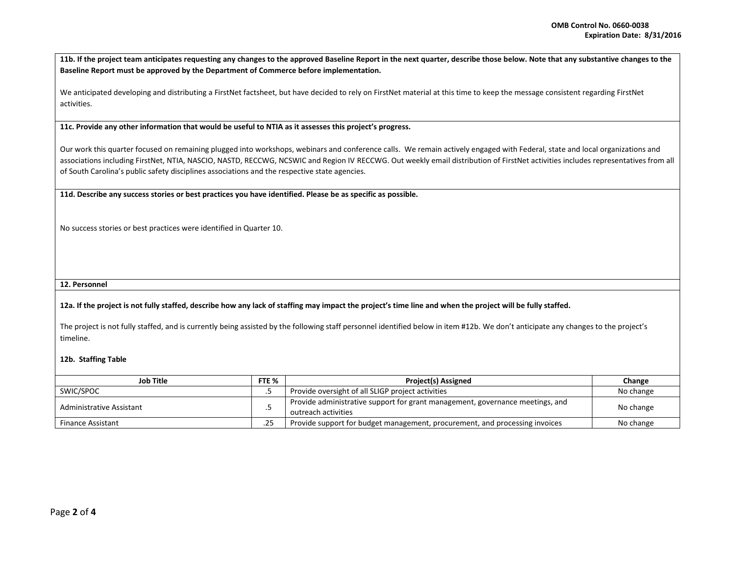**11b. If the project team anticipates requesting any changes to the approved Baseline Report in the next quarter, describe those below. Note that any substantive changes to the Baseline Report must be approved by the Department of Commerce before implementation.** 

We anticipated developing and distributing a FirstNet factsheet, but have decided to rely on FirstNet material at this time to keep the message consistent regarding FirstNet activities.

**11c. Provide any other information that would be useful to NTIA as it assesses this project's progress.** 

Our work this quarter focused on remaining plugged into workshops, webinars and conference calls. We remain actively engaged with Federal, state and local organizations and associations including FirstNet, NTIA, NASCIO, NASTD, RECCWG, NCSWIC and Region IV RECCWG. Out weekly email distribution of FirstNet activities includes representatives from all of South Carolina's public safety disciplines associations and the respective state agencies.

**11d. Describe any success stories or best practices you have identified. Please be as specific as possible.**

No success stories or best practices were identified in Quarter 10.

## **12. Personnel**

## **12a. If the project is not fully staffed, describe how any lack of staffing may impact the project's time line and when the project will be fully staffed.**

The project is not fully staffed, and is currently being assisted by the following staff personnel identified below in item #12b. We don't anticipate any changes to the project's timeline.

## **12b. Staffing Table**

| <b>Job Title</b>         |     | <b>Project(s) Assigned</b>                                                                           | Change    |
|--------------------------|-----|------------------------------------------------------------------------------------------------------|-----------|
| SWIC/SPOC                |     | Provide oversight of all SLIGP project activities                                                    | No change |
| Administrative Assistant |     | Provide administrative support for grant management, governance meetings, and<br>outreach activities | No change |
| <b>Finance Assistant</b> | .25 | Provide support for budget management, procurement, and processing invoices                          | No change |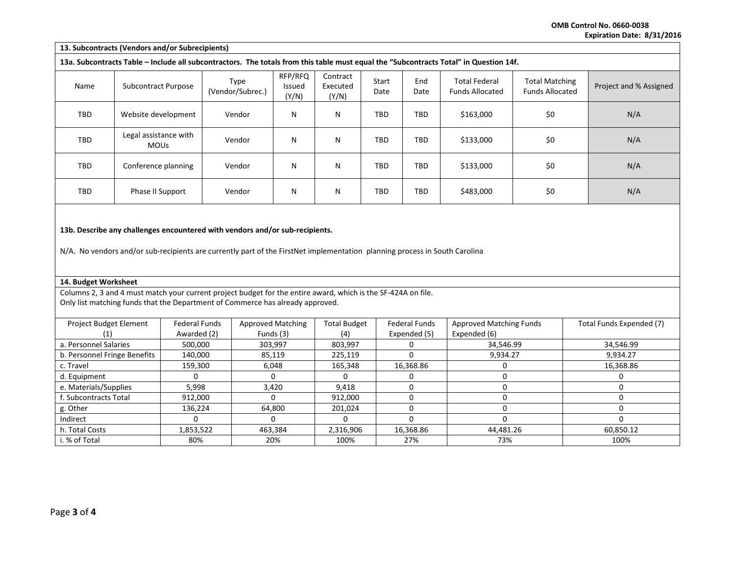**OMB Control No. 0660-0038 Expiration Date: 8/31/2016**

| 13. Subcontracts (Vendors and/or Subrecipients)                                                                                       |                                      |                          |                                   |                               |               |             |                                                |                                                 |                        |
|---------------------------------------------------------------------------------------------------------------------------------------|--------------------------------------|--------------------------|-----------------------------------|-------------------------------|---------------|-------------|------------------------------------------------|-------------------------------------------------|------------------------|
| 13a. Subcontracts Table - Include all subcontractors. The totals from this table must equal the "Subcontracts Total" in Question 14f. |                                      |                          |                                   |                               |               |             |                                                |                                                 |                        |
| Name                                                                                                                                  | <b>Subcontract Purpose</b>           | Type<br>(Vendor/Subrec.) | RFP/RFQ<br><b>Issued</b><br>(Y/N) | Contract<br>Executed<br>(Y/N) | Start<br>Date | End<br>Date | <b>Total Federal</b><br><b>Funds Allocated</b> | <b>Total Matching</b><br><b>Funds Allocated</b> | Project and % Assigned |
| TBD                                                                                                                                   | Website development                  | Vendor                   | N                                 | N                             | TBD           | TBD         | \$163,000                                      | \$0                                             | N/A                    |
| TBD                                                                                                                                   | Legal assistance with<br><b>MOUs</b> | Vendor                   | N                                 | N                             | TBD           | TBD         | \$133,000                                      | \$0                                             | N/A                    |
| TBD                                                                                                                                   | Conference planning                  | Vendor                   | N                                 | N                             | TBD           | <b>TBD</b>  | \$133,000                                      | \$0                                             | N/A                    |
| \$0<br>TBD<br>N<br>TBD<br>TBD<br>\$483,000<br>N/A<br>N<br>Phase II Support<br>Vendor                                                  |                                      |                          |                                   |                               |               |             |                                                |                                                 |                        |
| 13b. Describe any challenges encountered with vendors and/or sub-recipients.                                                          |                                      |                          |                                   |                               |               |             |                                                |                                                 |                        |

N/A. No vendors and/or sub-recipients are currently part of the FirstNet implementation planning process in South Carolina

## **14. Budget Worksheet**

Columns 2, 3 and 4 must match your current project budget for the entire award, which is the SF-424A on file. Only list matching funds that the Department of Commerce has already approved.

| <b>Project Budget Element</b> | <b>Federal Funds</b> | Approved Matching | <b>Total Budget</b> | <b>Federal Funds</b> | <b>Approved Matching Funds</b> | Total Funds Expended (7) |
|-------------------------------|----------------------|-------------------|---------------------|----------------------|--------------------------------|--------------------------|
|                               | Awarded (2)          | Funds (3)         | (4)                 | Expended (5)         | Expended (6)                   |                          |
| a. Personnel Salaries         | 500,000              | 303,997           | 803,997             |                      | 34,546.99                      | 34,546.99                |
| b. Personnel Fringe Benefits  | 140,000              | 85,119            | 225,119             |                      | 9,934.27                       | 9,934.27                 |
| c. Travel                     | 159,300              | 6,048             | 165,348             | 16,368.86            |                                | 16,368.86                |
| d. Equipment                  |                      |                   |                     |                      |                                |                          |
| e. Materials/Supplies         | 5,998                | 3.420             | 9.418               |                      |                                |                          |
| f. Subcontracts Total         | 912,000              |                   | 912.000             |                      |                                |                          |
| g. Other                      | 136.224              | 64.800            | 201.024             |                      |                                |                          |
| Indirect                      |                      |                   |                     |                      |                                |                          |
| h. Total Costs                | 1,853,522            | 463,384           | 2,316,906           | 16,368.86            | 44,481.26                      | 60,850.12                |
| i. % of Total                 | 80%                  | 20%               | 100%                | 27%                  | 73%                            | 100%                     |